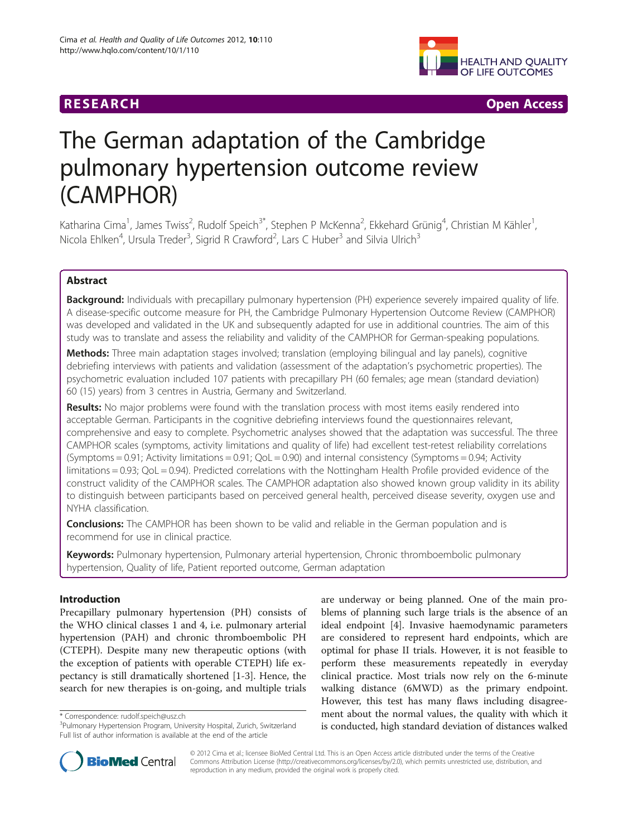## **RESEARCH CHINESEARCH CHINESEARCH CHINESEARCH CHINESE**



# The German adaptation of the Cambridge pulmonary hypertension outcome review (CAMPHOR)

Katharina Cima<sup>1</sup>, James Twiss<sup>2</sup>, Rudolf Speich<sup>3\*</sup>, Stephen P McKenna<sup>2</sup>, Ekkehard Grünig<sup>4</sup>, Christian M Kähler<sup>1</sup> , Nicola Ehlken<sup>4</sup>, Ursula Treder<sup>3</sup>, Sigrid R Crawford<sup>2</sup>, Lars C Huber<sup>3</sup> and Silvia Ulrich<sup>3</sup>

### Abstract

Background: Individuals with precapillary pulmonary hypertension (PH) experience severely impaired quality of life. A disease-specific outcome measure for PH, the Cambridge Pulmonary Hypertension Outcome Review (CAMPHOR) was developed and validated in the UK and subsequently adapted for use in additional countries. The aim of this study was to translate and assess the reliability and validity of the CAMPHOR for German-speaking populations.

Methods: Three main adaptation stages involved; translation (employing bilingual and lay panels), cognitive debriefing interviews with patients and validation (assessment of the adaptation's psychometric properties). The psychometric evaluation included 107 patients with precapillary PH (60 females; age mean (standard deviation) 60 (15) years) from 3 centres in Austria, Germany and Switzerland.

**Results:** No major problems were found with the translation process with most items easily rendered into acceptable German. Participants in the cognitive debriefing interviews found the questionnaires relevant, comprehensive and easy to complete. Psychometric analyses showed that the adaptation was successful. The three CAMPHOR scales (symptoms, activity limitations and quality of life) had excellent test-retest reliability correlations (Symptoms =  $0.91$ ; Activity limitations =  $0.91$ ; QoL =  $0.90$ ) and internal consistency (Symptoms =  $0.94$ ; Activity limitations = 0.93; QoL = 0.94). Predicted correlations with the Nottingham Health Profile provided evidence of the construct validity of the CAMPHOR scales. The CAMPHOR adaptation also showed known group validity in its ability to distinguish between participants based on perceived general health, perceived disease severity, oxygen use and NYHA classification.

**Conclusions:** The CAMPHOR has been shown to be valid and reliable in the German population and is recommend for use in clinical practice.

Keywords: Pulmonary hypertension, Pulmonary arterial hypertension, Chronic thromboembolic pulmonary hypertension, Quality of life, Patient reported outcome, German adaptation

#### Introduction

Precapillary pulmonary hypertension (PH) consists of the WHO clinical classes 1 and 4, i.e. pulmonary arterial hypertension (PAH) and chronic thromboembolic PH (CTEPH). Despite many new therapeutic options (with the exception of patients with operable CTEPH) life expectancy is still dramatically shortened [[1-3](#page-6-0)]. Hence, the search for new therapies is on-going, and multiple trials

\* Correspondence: [rudolf.speich@usz.ch](mailto:rudolf.speich@usz.ch) <sup>3</sup>

are underway or being planned. One of the main problems of planning such large trials is the absence of an ideal endpoint [\[4](#page-6-0)]. Invasive haemodynamic parameters are considered to represent hard endpoints, which are optimal for phase II trials. However, it is not feasible to perform these measurements repeatedly in everyday clinical practice. Most trials now rely on the 6-minute walking distance (6MWD) as the primary endpoint. However, this test has many flaws including disagreement about the normal values, the quality with which it is conducted, high standard deviation of distances walked



© 2012 Cima et al.; licensee BioMed Central Ltd. This is an Open Access article distributed under the terms of the Creative Commons Attribution License [\(http://creativecommons.org/licenses/by/2.0\)](http://creativecommons.org/licenses/by/2.0), which permits unrestricted use, distribution, and reproduction in any medium, provided the original work is properly cited.

<sup>&</sup>lt;sup>3</sup>Pulmonary Hypertension Program, University Hospital, Zurich, Switzerland Full list of author information is available at the end of the article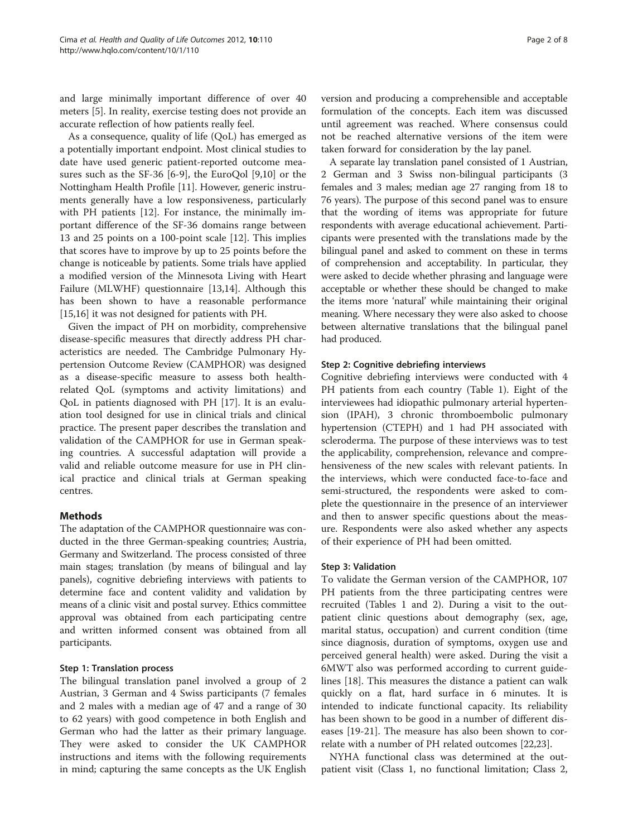and large minimally important difference of over 40 meters [\[5](#page-6-0)]. In reality, exercise testing does not provide an accurate reflection of how patients really feel.

As a consequence, quality of life (QoL) has emerged as a potentially important endpoint. Most clinical studies to date have used generic patient-reported outcome measures such as the SF-36 [[6-9](#page-6-0)], the EuroQol [[9,10\]](#page-6-0) or the Nottingham Health Profile [[11\]](#page-6-0). However, generic instruments generally have a low responsiveness, particularly with PH patients [\[12\]](#page-6-0). For instance, the minimally important difference of the SF-36 domains range between 13 and 25 points on a 100-point scale [\[12](#page-6-0)]. This implies that scores have to improve by up to 25 points before the change is noticeable by patients. Some trials have applied a modified version of the Minnesota Living with Heart Failure (MLWHF) questionnaire [[13,14\]](#page-6-0). Although this has been shown to have a reasonable performance [[15,16\]](#page-6-0) it was not designed for patients with PH.

Given the impact of PH on morbidity, comprehensive disease-specific measures that directly address PH characteristics are needed. The Cambridge Pulmonary Hypertension Outcome Review (CAMPHOR) was designed as a disease-specific measure to assess both healthrelated QoL (symptoms and activity limitations) and QoL in patients diagnosed with PH [[17\]](#page-6-0). It is an evaluation tool designed for use in clinical trials and clinical practice. The present paper describes the translation and validation of the CAMPHOR for use in German speaking countries. A successful adaptation will provide a valid and reliable outcome measure for use in PH clinical practice and clinical trials at German speaking centres.

#### Methods

The adaptation of the CAMPHOR questionnaire was conducted in the three German-speaking countries; Austria, Germany and Switzerland. The process consisted of three main stages; translation (by means of bilingual and lay panels), cognitive debriefing interviews with patients to determine face and content validity and validation by means of a clinic visit and postal survey. Ethics committee approval was obtained from each participating centre and written informed consent was obtained from all participants.

#### Step 1: Translation process

The bilingual translation panel involved a group of 2 Austrian, 3 German and 4 Swiss participants (7 females and 2 males with a median age of 47 and a range of 30 to 62 years) with good competence in both English and German who had the latter as their primary language. They were asked to consider the UK CAMPHOR instructions and items with the following requirements in mind; capturing the same concepts as the UK English version and producing a comprehensible and acceptable formulation of the concepts. Each item was discussed until agreement was reached. Where consensus could not be reached alternative versions of the item were taken forward for consideration by the lay panel.

A separate lay translation panel consisted of 1 Austrian, 2 German and 3 Swiss non-bilingual participants (3 females and 3 males; median age 27 ranging from 18 to 76 years). The purpose of this second panel was to ensure that the wording of items was appropriate for future respondents with average educational achievement. Participants were presented with the translations made by the bilingual panel and asked to comment on these in terms of comprehension and acceptability. In particular, they were asked to decide whether phrasing and language were acceptable or whether these should be changed to make the items more 'natural' while maintaining their original meaning. Where necessary they were also asked to choose between alternative translations that the bilingual panel had produced.

#### Step 2: Cognitive debriefing interviews

Cognitive debriefing interviews were conducted with 4 PH patients from each country (Table [1](#page-2-0)). Eight of the interviewees had idiopathic pulmonary arterial hypertension (IPAH), 3 chronic thromboembolic pulmonary hypertension (CTEPH) and 1 had PH associated with scleroderma. The purpose of these interviews was to test the applicability, comprehension, relevance and comprehensiveness of the new scales with relevant patients. In the interviews, which were conducted face-to-face and semi-structured, the respondents were asked to complete the questionnaire in the presence of an interviewer and then to answer specific questions about the measure. Respondents were also asked whether any aspects of their experience of PH had been omitted.

#### Step 3: Validation

To validate the German version of the CAMPHOR, 107 PH patients from the three participating centres were recruited (Tables [1](#page-2-0) and [2\)](#page-2-0). During a visit to the outpatient clinic questions about demography (sex, age, marital status, occupation) and current condition (time since diagnosis, duration of symptoms, oxygen use and perceived general health) were asked. During the visit a 6MWT also was performed according to current guidelines [[18\]](#page-6-0). This measures the distance a patient can walk quickly on a flat, hard surface in 6 minutes. It is intended to indicate functional capacity. Its reliability has been shown to be good in a number of different diseases [\[19-21](#page-6-0)]. The measure has also been shown to correlate with a number of PH related outcomes [[22,23\]](#page-7-0).

NYHA functional class was determined at the outpatient visit (Class 1, no functional limitation; Class 2,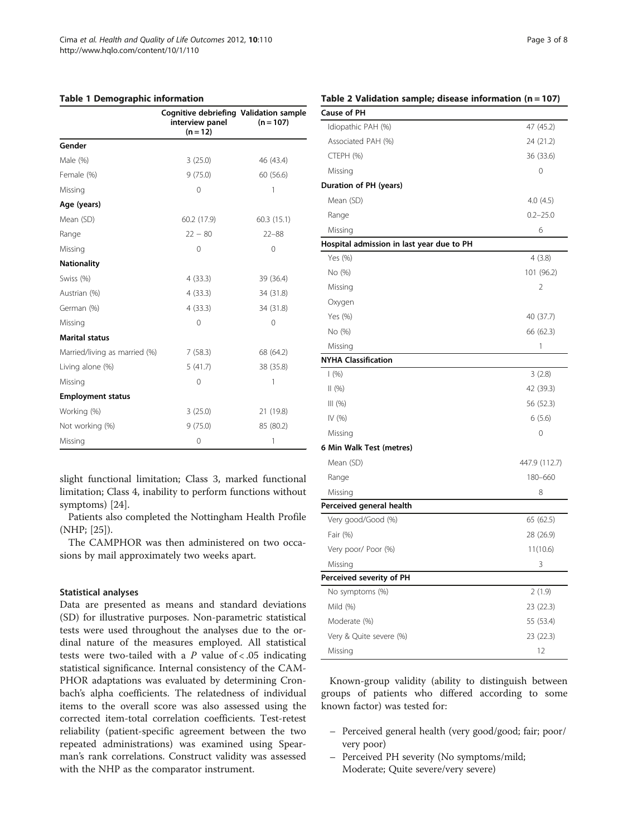#### <span id="page-2-0"></span>Table 1 Demographic information

|                               | Cognitive debriefing Validation sample<br>interview panel<br>$(n = 12)$ | $(n = 107)$ |
|-------------------------------|-------------------------------------------------------------------------|-------------|
| Gender                        |                                                                         |             |
| Male (%)                      | 3(25.0)                                                                 | 46 (43.4)   |
| Female (%)                    | 9(75.0)                                                                 | 60 (56.6)   |
| Missing                       | 0                                                                       | 1           |
| Age (years)                   |                                                                         |             |
| Mean (SD)                     | 60.2 (17.9)                                                             | 60.3(15.1)  |
| Range                         | $22 - 80$                                                               | $22 - 88$   |
| Missing                       | 0                                                                       | 0           |
| <b>Nationality</b>            |                                                                         |             |
| Swiss (%)                     | 4(33.3)                                                                 | 39 (36.4)   |
| Austrian (%)                  | 4(33.3)                                                                 | 34 (31.8)   |
| German (%)                    | 4(33.3)                                                                 | 34 (31.8)   |
| Missing                       | 0                                                                       | 0           |
| <b>Marital status</b>         |                                                                         |             |
| Married/living as married (%) | 7(58.3)                                                                 | 68 (64.2)   |
| Living alone (%)              | 5(41.7)                                                                 | 38 (35.8)   |
| Missing                       | 0                                                                       | 1           |
| <b>Employment status</b>      |                                                                         |             |
| Working (%)                   | 3(25.0)                                                                 | 21 (19.8)   |
| Not working (%)               | 9(75.0)                                                                 | 85 (80.2)   |
| Missing                       | 0                                                                       | 1           |

slight functional limitation; Class 3, marked functional limitation; Class 4, inability to perform functions without symptoms) [[24\]](#page-7-0).

Patients also completed the Nottingham Health Profile (NHP; [[25](#page-7-0)]).

The CAMPHOR was then administered on two occasions by mail approximately two weeks apart.

#### Statistical analyses

Data are presented as means and standard deviations (SD) for illustrative purposes. Non-parametric statistical tests were used throughout the analyses due to the ordinal nature of the measures employed. All statistical tests were two-tailed with a  $P$  value of < .05 indicating statistical significance. Internal consistency of the CAM-PHOR adaptations was evaluated by determining Cronbach's alpha coefficients. The relatedness of individual items to the overall score was also assessed using the corrected item-total correlation coefficients. Test-retest reliability (patient-specific agreement between the two repeated administrations) was examined using Spearman's rank correlations. Construct validity was assessed with the NHP as the comparator instrument.

| Table 2 Validation sample; disease information (n = 107) |               |
|----------------------------------------------------------|---------------|
| <b>Cause of PH</b>                                       |               |
| Idiopathic PAH (%)                                       | 47 (45.2)     |
| Associated PAH (%)                                       | 24 (21.2)     |
| CTEPH (%)                                                | 36 (33.6)     |
| Missing                                                  | 0             |
| Duration of PH (years)                                   |               |
| Mean (SD)                                                | 4.0(4.5)      |
| Range                                                    | $0.2 - 25.0$  |
| Missing                                                  | 6             |
| Hospital admission in last year due to PH                |               |
| Yes (%)                                                  | 4(3.8)        |
| No (%)                                                   | 101 (96.2)    |
| Missing                                                  | 2             |
| Oxygen                                                   |               |
| Yes (%)                                                  | 40 (37.7)     |
| No (%)                                                   | 66 (62.3)     |
| Missing                                                  | 1             |
| <b>NYHA Classification</b>                               |               |
| (96)                                                     | 3(2.8)        |
| (%)                                                      | 42 (39.3)     |
| III(%)                                                   | 56 (52.3)     |
| IV (%)                                                   | 6(5.6)        |
| Missing                                                  | 0             |
| 6 Min Walk Test (metres)                                 |               |
| Mean (SD)                                                | 447.9 (112.7) |
| Range                                                    | 180-660       |
| Missing                                                  | 8             |
| Perceived general health                                 |               |
| Very good/Good (%)                                       | 65 (62.5)     |
| Fair (%)                                                 | 28 (26.9)     |
| Very poor/ Poor (%)                                      | 11(10.6)      |
| Missing                                                  | 3             |
| Perceived severity of PH                                 |               |
| No symptoms (%)                                          | 2(1.9)        |
| Mild (%)                                                 | 23 (22.3)     |
| Moderate (%)                                             | 55 (53.4)     |
| Very & Quite severe (%)                                  | 23 (22.3)     |
| Missing                                                  | 12            |

Known-group validity (ability to distinguish between groups of patients who differed according to some known factor) was tested for:

- Perceived general health (very good/good; fair; poor/ very poor)
- Perceived PH severity (No symptoms/mild; Moderate; Quite severe/very severe)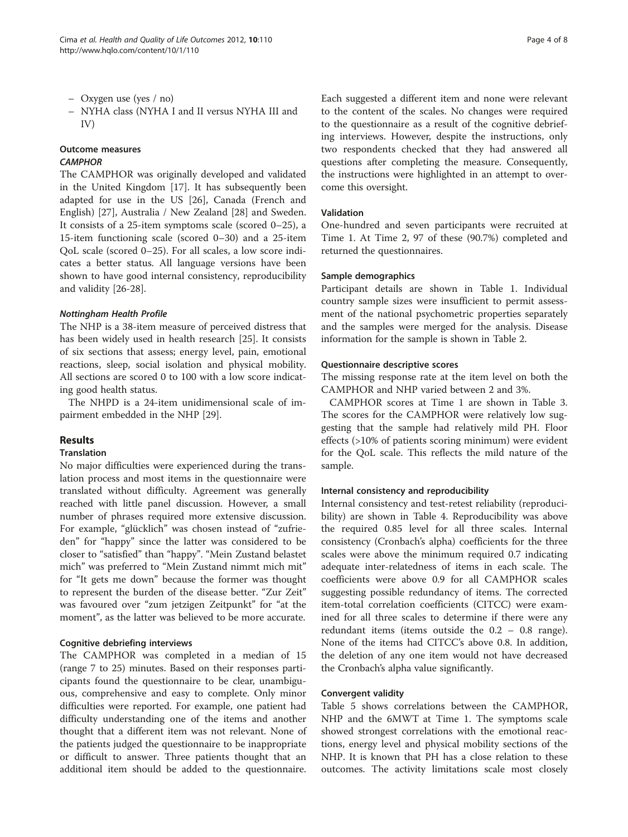- Oxygen use (yes / no)
- NYHA class (NYHA I and II versus NYHA III and IV)

#### Outcome measures **CAMPHOR**

CAMPHOR The CAMPHOR was originally developed and validated in the United Kingdom [[17\]](#page-6-0). It has subsequently been adapted for use in the US [\[26](#page-7-0)], Canada (French and English) [\[27](#page-7-0)], Australia / New Zealand [[28](#page-7-0)] and Sweden. It consists of a 25-item symptoms scale (scored 0–25), a 15-item functioning scale (scored 0–30) and a 25-item QoL scale (scored 0–25). For all scales, a low score indicates a better status. All language versions have been shown to have good internal consistency, reproducibility and validity [\[26-28](#page-7-0)].

The NHP is a 38-item measure of perceived distress that has been widely used in health research [[25\]](#page-7-0). It consists of six sections that assess; energy level, pain, emotional reactions, sleep, social isolation and physical mobility. All sections are scored 0 to 100 with a low score indicating good health status.

The NHPD is a 24-item unidimensional scale of impairment embedded in the NHP [\[29\]](#page-7-0).

#### Results

#### **Translation**

No major difficulties were experienced during the translation process and most items in the questionnaire were translated without difficulty. Agreement was generally reached with little panel discussion. However, a small number of phrases required more extensive discussion. For example, "glücklich" was chosen instead of "zufrieden" for "happy" since the latter was considered to be closer to "satisfied" than "happy". "Mein Zustand belastet mich" was preferred to "Mein Zustand nimmt mich mit" for "It gets me down" because the former was thought to represent the burden of the disease better. "Zur Zeit" was favoured over "zum jetzigen Zeitpunkt" for "at the moment", as the latter was believed to be more accurate.

#### Cognitive debriefing interviews

The CAMPHOR was completed in a median of 15 (range 7 to 25) minutes. Based on their responses participants found the questionnaire to be clear, unambiguous, comprehensive and easy to complete. Only minor difficulties were reported. For example, one patient had difficulty understanding one of the items and another thought that a different item was not relevant. None of the patients judged the questionnaire to be inappropriate or difficult to answer. Three patients thought that an additional item should be added to the questionnaire.

Each suggested a different item and none were relevant to the content of the scales. No changes were required to the questionnaire as a result of the cognitive debriefing interviews. However, despite the instructions, only two respondents checked that they had answered all questions after completing the measure. Consequently, the instructions were highlighted in an attempt to overcome this oversight.

#### Validation

One-hundred and seven participants were recruited at Time 1. At Time 2, 97 of these (90.7%) completed and returned the questionnaires.

#### Sample demographics

Participant details are shown in Table [1.](#page-2-0) Individual country sample sizes were insufficient to permit assessment of the national psychometric properties separately and the samples were merged for the analysis. Disease information for the sample is shown in Table [2.](#page-2-0)

#### Questionnaire descriptive scores

The missing response rate at the item level on both the CAMPHOR and NHP varied between 2 and 3%.

CAMPHOR scores at Time 1 are shown in Table [3](#page-4-0). The scores for the CAMPHOR were relatively low suggesting that the sample had relatively mild PH. Floor effects (>10% of patients scoring minimum) were evident for the QoL scale. This reflects the mild nature of the sample.

#### Internal consistency and reproducibility

Internal consistency and test-retest reliability (reproducibility) are shown in Table [4](#page-4-0). Reproducibility was above the required 0.85 level for all three scales. Internal consistency (Cronbach's alpha) coefficients for the three scales were above the minimum required 0.7 indicating adequate inter-relatedness of items in each scale. The coefficients were above 0.9 for all CAMPHOR scales suggesting possible redundancy of items. The corrected item-total correlation coefficients (CITCC) were examined for all three scales to determine if there were any redundant items (items outside the 0.2 – 0.8 range). None of the items had CITCC's above 0.8. In addition, the deletion of any one item would not have decreased the Cronbach's alpha value significantly.

#### Convergent validity

Table [5](#page-4-0) shows correlations between the CAMPHOR, NHP and the 6MWT at Time 1. The symptoms scale showed strongest correlations with the emotional reactions, energy level and physical mobility sections of the NHP. It is known that PH has a close relation to these outcomes. The activity limitations scale most closely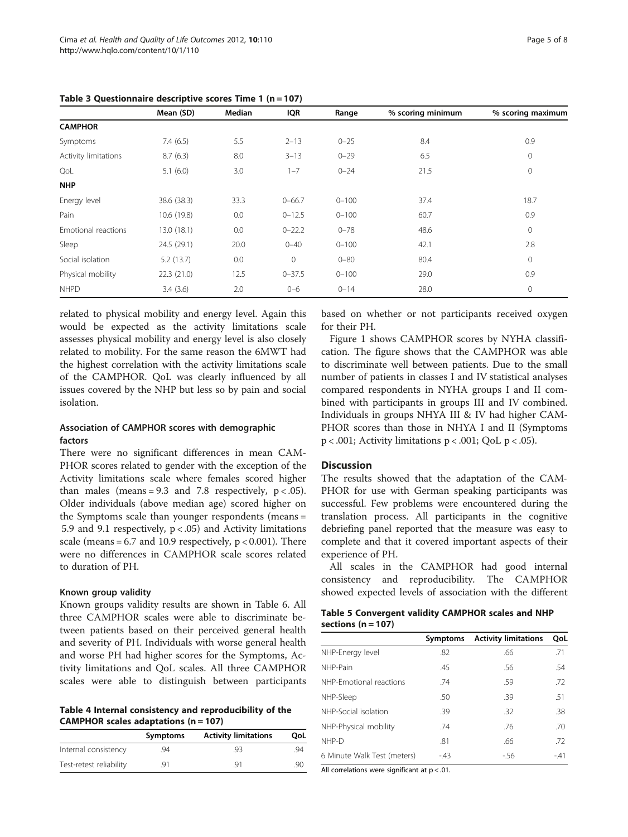|                      | Mean (SD)   | Median | <b>IQR</b>   | Range     | % scoring minimum | % scoring maximum |
|----------------------|-------------|--------|--------------|-----------|-------------------|-------------------|
| <b>CAMPHOR</b>       |             |        |              |           |                   |                   |
| Symptoms             | 7.4(6.5)    | 5.5    | $2 - 13$     | $0 - 25$  | 8.4               | 0.9               |
| Activity limitations | 8.7(6.3)    | 8.0    | $3 - 13$     | $0 - 29$  | 6.5               | $\mathbf{0}$      |
| QoL                  | 5.1(6.0)    | 3.0    | $1 - 7$      | $0 - 24$  | 21.5              | $\mathbf 0$       |
| <b>NHP</b>           |             |        |              |           |                   |                   |
| Energy level         | 38.6 (38.3) | 33.3   | $0 - 66.7$   | $0 - 100$ | 37.4              | 18.7              |
| Pain                 | 10.6 (19.8) | 0.0    | $0 - 12.5$   | $0 - 100$ | 60.7              | 0.9               |
| Emotional reactions  | 13.0(18.1)  | 0.0    | $0 - 22.2$   | $0 - 78$  | 48.6              | $\mathbf 0$       |
| Sleep                | 24.5 (29.1) | 20.0   | $0 - 40$     | $0 - 100$ | 42.1              | 2.8               |
| Social isolation     | 5.2(13.7)   | 0.0    | $\mathbf{0}$ | $0 - 80$  | 80.4              | $\Omega$          |
| Physical mobility    | 22.3(21.0)  | 12.5   | $0 - 37.5$   | $0 - 100$ | 29.0              | 0.9               |
| <b>NHPD</b>          | 3.4(3.6)    | 2.0    | $0 - 6$      | $0 - 14$  | 28.0              | $\mathbf{0}$      |

<span id="page-4-0"></span>Table 3 Questionnaire descriptive scores Time 1 (n = 107)

related to physical mobility and energy level. Again this would be expected as the activity limitations scale assesses physical mobility and energy level is also closely related to mobility. For the same reason the 6MWT had the highest correlation with the activity limitations scale of the CAMPHOR. QoL was clearly influenced by all issues covered by the NHP but less so by pain and social isolation.

#### Association of CAMPHOR scores with demographic factors

There were no significant differences in mean CAM-PHOR scores related to gender with the exception of the Activity limitations scale where females scored higher than males (means =  $9.3$  and  $7.8$  respectively,  $p < .05$ ). Older individuals (above median age) scored higher on the Symptoms scale than younger respondents (means = 5.9 and 9.1 respectively,  $p < .05$ ) and Activity limitations scale (means  $= 6.7$  and 10.9 respectively,  $p < 0.001$ ). There were no differences in CAMPHOR scale scores related to duration of PH.

#### Known group validity

Known groups validity results are shown in Table [6.](#page-5-0) All three CAMPHOR scales were able to discriminate between patients based on their perceived general health and severity of PH. Individuals with worse general health and worse PH had higher scores for the Symptoms, Activity limitations and QoL scales. All three CAMPHOR scales were able to distinguish between participants

Table 4 Internal consistency and reproducibility of the CAMPHOR scales adaptations  $(n = 107)$ 

|                         | <b>Symptoms</b> | <b>Activity limitations</b> | QoL |
|-------------------------|-----------------|-----------------------------|-----|
| Internal consistency    | .94             | 93                          | 94  |
| Test-retest reliability | 91              | 91                          | 90  |

based on whether or not participants received oxygen for their PH.

Figure [1](#page-5-0) shows CAMPHOR scores by NYHA classification. The figure shows that the CAMPHOR was able to discriminate well between patients. Due to the small number of patients in classes I and IV statistical analyses compared respondents in NYHA groups I and II combined with participants in groups III and IV combined. Individuals in groups NHYA III & IV had higher CAM-PHOR scores than those in NHYA I and II (Symptoms  $p < .001$ ; Activity limitations  $p < .001$ ; QoL  $p < .05$ ).

#### **Discussion**

The results showed that the adaptation of the CAM-PHOR for use with German speaking participants was successful. Few problems were encountered during the translation process. All participants in the cognitive debriefing panel reported that the measure was easy to complete and that it covered important aspects of their experience of PH.

All scales in the CAMPHOR had good internal consistency and reproducibility. The CAMPHOR showed expected levels of association with the different

| Table 5 Convergent validity CAMPHOR scales and NHP |  |  |
|----------------------------------------------------|--|--|
| sections ( $n = 107$ )                             |  |  |

|                             | <b>Symptoms</b> | <b>Activity limitations</b> | OoL   |
|-----------------------------|-----------------|-----------------------------|-------|
| NHP-Energy level            | .82             | .66                         | .71   |
| NHP-Pain                    | .45             | .56                         | .54   |
| NHP-Emotional reactions     | .74             | .59                         | .72   |
| NHP-Sleep                   | .50             | .39                         | .51   |
| NHP-Social isolation        | .39             | .32                         | .38   |
| NHP-Physical mobility       | .74             | .76                         | .70   |
| NHP-D                       | .81             | .66                         | .72   |
| 6 Minute Walk Test (meters) | $-43$           | - 56                        | $-41$ |

All correlations were significant at p < .01.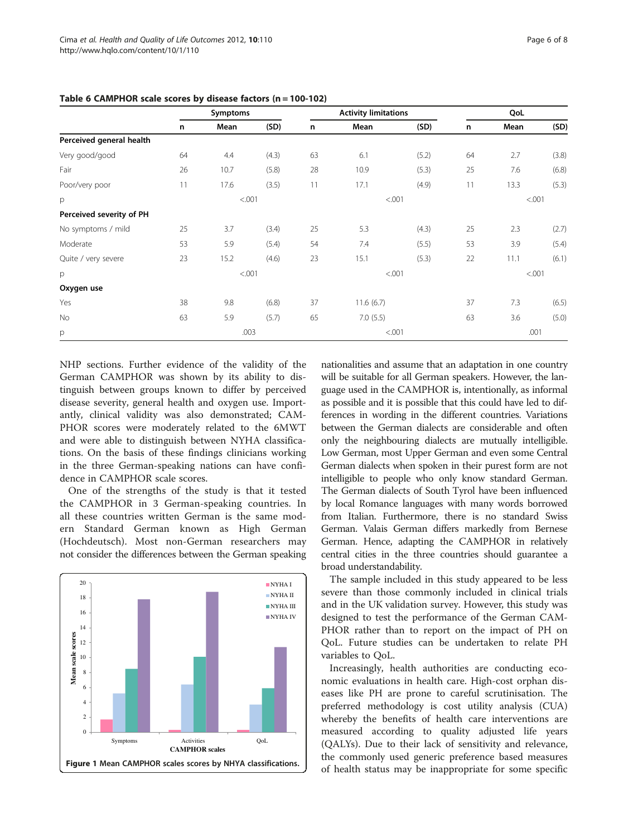|                          | <b>Symptoms</b> |      |       |         | <b>Activity limitations</b> |        |        | QoL  |       |  |
|--------------------------|-----------------|------|-------|---------|-----------------------------|--------|--------|------|-------|--|
|                          | n               | Mean | (SD)  | n       | Mean                        | (SD)   | n      | Mean | (SD)  |  |
| Perceived general health |                 |      |       |         |                             |        |        |      |       |  |
| Very good/good           | 64              | 4.4  | (4.3) | 63      | 6.1                         | (5.2)  | 64     | 2.7  | (3.8) |  |
| Fair                     | 26              | 10.7 | (5.8) | 28      | 10.9                        | (5.3)  | 25     | 7.6  | (6.8) |  |
| Poor/very poor           | 11              | 17.6 | (3.5) | 11      | 17.1                        | (4.9)  | 11     | 13.3 | (5.3) |  |
| p                        | < .001          |      |       | < .001  |                             |        | < .001 |      |       |  |
| Perceived severity of PH |                 |      |       |         |                             |        |        |      |       |  |
| No symptoms / mild       | 25              | 3.7  | (3.4) | 25      | 5.3                         | (4.3)  | 25     | 2.3  | (2.7) |  |
| Moderate                 | 53              | 5.9  | (5.4) | 54      | 7.4                         | (5.5)  | 53     | 3.9  | (5.4) |  |
| Quite / very severe      | 23              | 15.2 | (4.6) | 23      | 15.1                        | (5.3)  | 22     | 11.1 | (6.1) |  |
| p                        | < .001          |      |       | < 0.001 |                             |        | < .001 |      |       |  |
| Oxygen use               |                 |      |       |         |                             |        |        |      |       |  |
| Yes                      | 38              | 9.8  | (6.8) | 37      | 11.6(6.7)                   |        | 37     | 7.3  | (6.5) |  |
| No                       | 63              | 5.9  | (5.7) | 65      | 7.0(5.5)                    |        | 63     | 3.6  | (5.0) |  |
| p                        |                 | .003 |       |         |                             | < .001 |        | .001 |       |  |

#### <span id="page-5-0"></span>Table 6 CAMPHOR scale scores by disease factors  $(n = 100-102)$

NHP sections. Further evidence of the validity of the German CAMPHOR was shown by its ability to distinguish between groups known to differ by perceived disease severity, general health and oxygen use. Importantly, clinical validity was also demonstrated; CAM-PHOR scores were moderately related to the 6MWT and were able to distinguish between NYHA classifications. On the basis of these findings clinicians working in the three German-speaking nations can have confidence in CAMPHOR scale scores.

One of the strengths of the study is that it tested the CAMPHOR in 3 German-speaking countries. In all these countries written German is the same modern Standard German known as High German (Hochdeutsch). Most non-German researchers may not consider the differences between the German speaking



nationalities and assume that an adaptation in one country will be suitable for all German speakers. However, the language used in the CAMPHOR is, intentionally, as informal as possible and it is possible that this could have led to differences in wording in the different countries. Variations between the German dialects are considerable and often only the neighbouring dialects are mutually intelligible. Low German, most Upper German and even some Central German dialects when spoken in their purest form are not intelligible to people who only know standard German. The German dialects of South Tyrol have been influenced by local Romance languages with many words borrowed from Italian. Furthermore, there is no standard Swiss German. Valais German differs markedly from Bernese German. Hence, adapting the CAMPHOR in relatively central cities in the three countries should guarantee a broad understandability.

The sample included in this study appeared to be less severe than those commonly included in clinical trials and in the UK validation survey. However, this study was designed to test the performance of the German CAM-PHOR rather than to report on the impact of PH on QoL. Future studies can be undertaken to relate PH variables to QoL.

Increasingly, health authorities are conducting economic evaluations in health care. High-cost orphan diseases like PH are prone to careful scrutinisation. The preferred methodology is cost utility analysis (CUA) whereby the benefits of health care interventions are measured according to quality adjusted life years (QALYs). Due to their lack of sensitivity and relevance, the commonly used generic preference based measures of health status may be inappropriate for some specific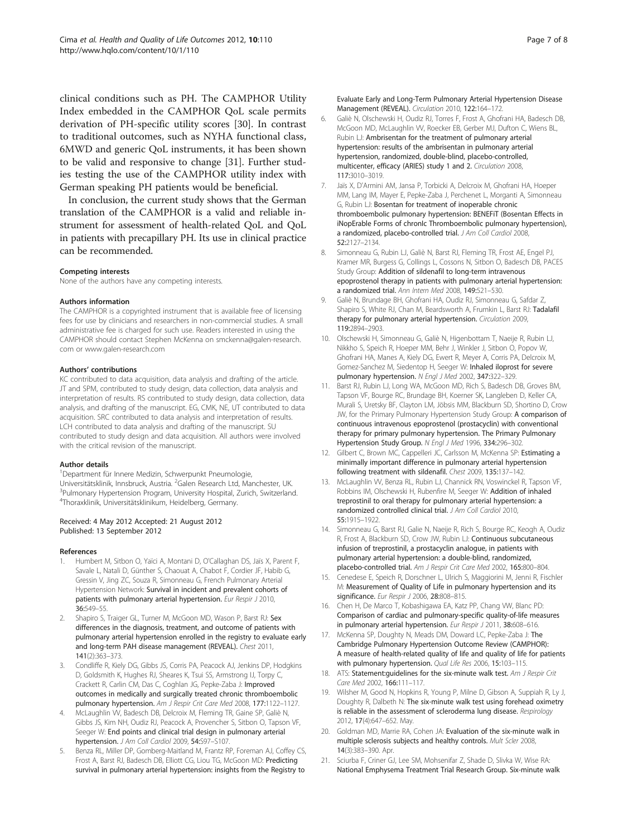<span id="page-6-0"></span>clinical conditions such as PH. The CAMPHOR Utility Index embedded in the CAMPHOR QoL scale permits derivation of PH-specific utility scores [\[30](#page-7-0)]. In contrast to traditional outcomes, such as NYHA functional class, 6MWD and generic QoL instruments, it has been shown to be valid and responsive to change [[31](#page-7-0)]. Further studies testing the use of the CAMPHOR utility index with German speaking PH patients would be beneficial.

In conclusion, the current study shows that the German translation of the CAMPHOR is a valid and reliable instrument for assessment of health-related QoL and QoL in patients with precapillary PH. Its use in clinical practice can be recommended.

#### Competing interests

None of the authors have any competing interests.

#### Authors information

The CAMPHOR is a copyrighted instrument that is available free of licensing fees for use by clinicians and researchers in non-commercial studies. A small administrative fee is charged for such use. Readers interested in using the CAMPHOR should contact Stephen McKenna on smckenna@galen-research. com or www.galen-research.com

#### Authors' contributions

KC contributed to data acquisition, data analysis and drafting of the article. JT and SPM, contributed to study design, data collection, data analysis and interpretation of results. RS contributed to study design, data collection, data analysis, and drafting of the manuscript. EG, CMK, NE, UT contributed to data acquisition. SRC contributed to data analysis and interpretation of results. LCH contributed to data analysis and drafting of the manuscript. SU contributed to study design and data acquisition. All authors were involved with the critical revision of the manuscript.

#### Author details

1 Department für Innere Medizin, Schwerpunkt Pneumologie, Universitätsklinik, Innsbruck, Austria. <sup>2</sup>Galen Research Ltd, Manchester, UK.<br><sup>3</sup>Pulmonary Hypertension Program, University Hospital, Zurich, Switzerlan

<sup>3</sup>Pulmonary Hypertension Program, University Hospital, Zurich, Switzerland. 4 Thoraxklinik, Universitätsklinikum, Heidelberg, Germany.

#### Received: 4 May 2012 Accepted: 21 August 2012 Published: 13 September 2012

#### References

- 1. Humbert M, Sitbon O, Yaïci A, Montani D, O'Callaghan DS, Jaïs X, Parent F, Savale L, Natali D, Günther S, Chaouat A, Chabot F, Cordier JF, Habib G, Gressin V, Jing ZC, Souza R, Simonneau G, French Pulmonary Arterial Hypertension Network: Survival in incident and prevalent cohorts of patients with pulmonary arterial hypertension. Eur Respir J 2010, 36:549–55.
- Shapiro S, Traiger GL, Turner M, McGoon MD, Wason P, Barst RJ: Sex differences in the diagnosis, treatment, and outcome of patients with pulmonary arterial hypertension enrolled in the registry to evaluate early and long-term PAH disease management (REVEAL). Chest 2011, 141(2):363–373.
- 3. Condliffe R, Kiely DG, Gibbs JS, Corris PA, Peacock AJ, Jenkins DP, Hodgkins D, Goldsmith K, Hughes RJ, Sheares K, Tsui SS, Armstrong IJ, Torpy C, Crackett R, Carlin CM, Das C, Coghlan JG, Pepke-Zaba J: Improved outcomes in medically and surgically treated chronic thromboembolic pulmonary hypertension. Am J Respir Crit Care Med 2008, 177:1122-1127.
- 4. McLaughlin VV, Badesch DB, Delcroix M, Fleming TR, Gaine SP, Galiè N, Gibbs JS, Kim NH, Oudiz RJ, Peacock A, Provencher S, Sitbon O, Tapson VF, Seeger W: End points and clinical trial design in pulmonary arterial hypertension. J Am Coll Cardiol 2009, 54:S97-S107.
- 5. Benza RL, Miller DP, Gomberg-Maitland M, Frantz RP, Foreman AJ, Coffey CS, Frost A, Barst RJ, Badesch DB, Elliott CG, Liou TG, McGoon MD: Predicting survival in pulmonary arterial hypertension: insights from the Registry to

Evaluate Early and Long-Term Pulmonary Arterial Hypertension Disease Management (REVEAL). Circulation 2010, 122:164–172.

- 6. Galiè N, Olschewski H, Oudiz RJ, Torres F, Frost A, Ghofrani HA, Badesch DB, McGoon MD, McLaughlin VV, Roecker EB, Gerber MJ, Dufton C, Wiens BL, Rubin LJ: Ambrisentan for the treatment of pulmonary arterial hypertension: results of the ambrisentan in pulmonary arterial hypertension, randomized, double-blind, placebo-controlled, multicenter, efficacy (ARIES) study 1 and 2. Circulation 2008, 117:3010–3019.
- 7. Jaïs X, D'Armini AM, Jansa P, Torbicki A, Delcroix M, Ghofrani HA, Hoeper MM, Lang IM, Mayer E, Pepke-Zaba J, Perchenet L, Morganti A, Simonneau G, Rubin LJ: Bosentan for treatment of inoperable chronic thromboembolic pulmonary hypertension: BENEFiT (Bosentan Effects in iNopErable Forms of chronic Thromboembolic pulmonary hypertension), a randomized, placebo-controlled trial. J Am Coll Cardiol 2008, 52:2127–2134.
- 8. Simonneau G, Rubin LJ, Galiè N, Barst RJ, Fleming TR, Frost AE, Engel PJ, Kramer MR, Burgess G, Collings L, Cossons N, Sitbon O, Badesch DB, PACES Study Group: Addition of sildenafil to long-term intravenous epoprostenol therapy in patients with pulmonary arterial hypertension: a randomized trial. Ann Intern Med 2008, 149:521–530.
- 9. Galiè N, Brundage BH, Ghofrani HA, Oudiz RJ, Simonneau G, Safdar Z, Shapiro S, White RJ, Chan M, Beardsworth A, Frumkin L, Barst RJ: Tadalafil therapy for pulmonary arterial hypertension. Circulation 2009, 119:2894–2903.
- 10. Olschewski H, Simonneau G, Galiè N, Higenbottam T, Naeije R, Rubin LJ, Nikkho S, Speich R, Hoeper MM, Behr J, Winkler J, Sitbon O, Popov W, Ghofrani HA, Manes A, Kiely DG, Ewert R, Meyer A, Corris PA, Delcroix M, Gomez-Sanchez M, Siedentop H, Seeger W: Inhaled iloprost for severe pulmonary hypertension. N Engl J Med 2002, 347:322–329.
- 11. Barst RJ, Rubin LJ, Long WA, McGoon MD, Rich S, Badesch DB, Groves BM, Tapson VF, Bourge RC, Brundage BH, Koerner SK, Langleben D, Keller CA, Murali S, Uretsky BF, Clayton LM, Jöbsis MM, Blackburn SD, Shortino D, Crow JW, for the Primary Pulmonary Hypertension Study Group: A comparison of continuous intravenous epoprostenol (prostacyclin) with conventional therapy for primary pulmonary hypertension. The Primary Pulmonary Hypertension Study Group. N Engl J Med 1996, 334:296–302.
- 12. Gilbert C, Brown MC, Cappelleri JC, Carlsson M, McKenna SP: Estimating a minimally important difference in pulmonary arterial hypertension following treatment with sildenafil. Chest 2009, 135:137–142.
- 13. McLaughlin VV, Benza RL, Rubin LJ, Channick RN, Voswinckel R, Tapson VF, Robbins IM, Olschewski H, Rubenfire M, Seeger W: Addition of inhaled treprostinil to oral therapy for pulmonary arterial hypertension: a randomized controlled clinical trial. J Am Coll Cardiol 2010, 55:1915–1922.
- 14. Simonneau G, Barst RJ, Galie N, Naeije R, Rich S, Bourge RC, Keogh A, Oudiz R, Frost A, Blackburn SD, Crow JW, Rubin LJ: Continuous subcutaneous infusion of treprostinil, a prostacyclin analogue, in patients with pulmonary arterial hypertension: a double-blind, randomized, placebo-controlled trial. Am J Respir Crit Care Med 2002, 165:800–804.
- 15. Cenedese E, Speich R, Dorschner L, Ulrich S, Maggiorini M, Jenni R, Fischler M: Measurement of Quality of Life in pulmonary hypertension and its significance. Eur Respir J 2006, 28:808-815.
- 16. Chen H, De Marco T, Kobashigawa EA, Katz PP, Chang VW, Blanc PD: Comparison of cardiac and pulmonary-specific quality-of-life measures in pulmonary arterial hypertension. Eur Respir J 2011, 38:608-616.
- 17. McKenna SP, Doughty N, Meads DM, Doward LC, Pepke-Zaba J: The Cambridge Pulmonary Hypertension Outcome Review (CAMPHOR): A measure of health-related quality of life and quality of life for patients with pulmonary hypertension. Qual Life Res 2006, 15:103-115.
- 18. ATS: Statement: quidelines for the six-minute walk test. Am J Respir Crit Care Med 2002, 166:111–117.
- 19. Wilsher M, Good N, Hopkins R, Young P, Milne D, Gibson A, Suppiah R, Ly J, Doughty R, Dalbeth N: The six-minute walk test using forehead oximetry is reliable in the assessment of scleroderma lung disease. Respirology 2012, 17(4):647–652. May.
- 20. Goldman MD, Marrie RA, Cohen JA: Evaluation of the six-minute walk in multiple sclerosis subjects and healthy controls. Mult Scler 2008, 14(3):383–390. Apr.
- 21. Sciurba F, Criner GJ, Lee SM, Mohsenifar Z, Shade D, Slivka W, Wise RA: National Emphysema Treatment Trial Research Group. Six-minute walk